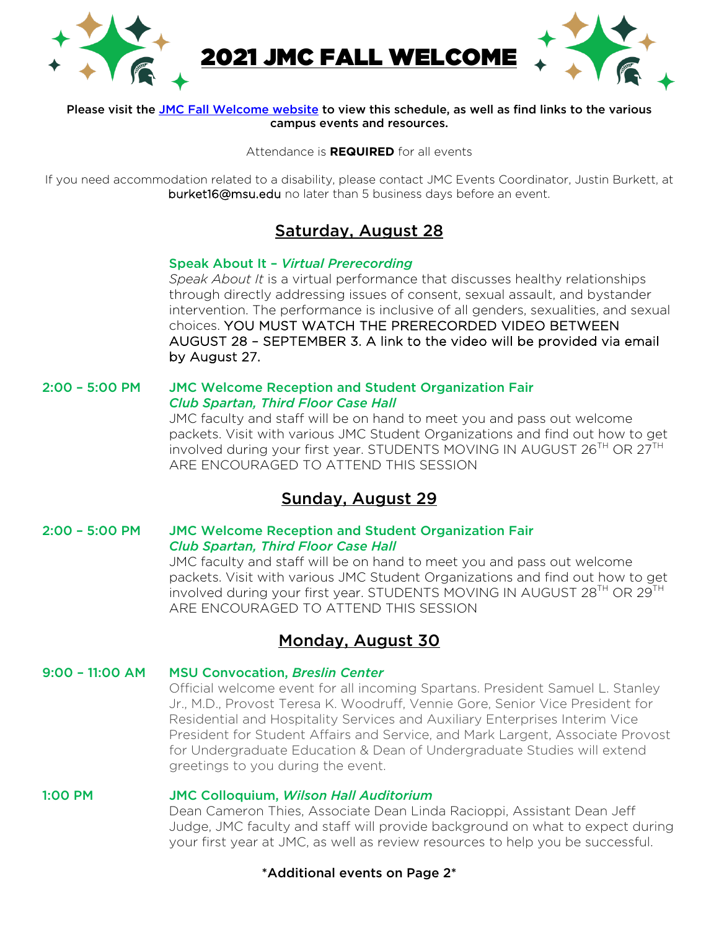

#### Please visit the JMC Fall Welcome website to view this schedule, as well as find links to the various campus events and resources.

Attendance is **REQUIRED** for all events

If you need accommodation related to a disability, please contact JMC Events Coordinator, Justin Burkett, at burket16@msu.edu no later than 5 business days before an event.

# Saturday, August 28

### Speak About It – *Virtual Prerecording*

*Speak About It* is a virtual performance that discusses healthy relationships through directly addressing issues of consent, sexual assault, and bystander intervention. The performance is inclusive of all genders, sexualities, and sexual choices. YOU MUST WATCH THE PRERECORDED VIDEO BETWEEN AUGUST 28 – SEPTEMBER 3. A link to the video will be provided via email by August 27.

### 2:00 – 5:00 PM JMC Welcome Reception and Student Organization Fair *Club Spartan, Third Floor Case Hall*

JMC faculty and staff will be on hand to meet you and pass out welcome packets. Visit with various JMC Student Organizations and find out how to get involved during your first year. STUDENTS MOVING IN AUGUST 26<sup>TH</sup> OR 27<sup>TH</sup> ARE ENCOURAGED TO ATTEND THIS SESSION

### Sunday, August 29

### 2:00 – 5:00 PM JMC Welcome Reception and Student Organization Fair *Club Spartan, Third Floor Case Hall*

JMC faculty and staff will be on hand to meet you and pass out welcome packets. Visit with various JMC Student Organizations and find out how to get involved during your first year. STUDENTS MOVING IN AUGUST 28<sup>TH</sup> OR 29<sup>TH</sup> ARE ENCOURAGED TO ATTEND THIS SESSION

# Monday, August 30

### 9:00 – 11:00 AM MSU Convocation, *Breslin Center*

Official welcome event for all incoming Spartans. President Samuel L. Stanley Jr., M.D., Provost Teresa K. Woodruff, Vennie Gore, Senior Vice President for Residential and Hospitality Services and Auxiliary Enterprises Interim Vice President for Student Affairs and Service, and Mark Largent, Associate Provost for Undergraduate Education & Dean of Undergraduate Studies will extend greetings to you during the event.

### 1:00 PM JMC Colloquium, *Wilson Hall Auditorium*

Dean Cameron Thies, Associate Dean Linda Racioppi, Assistant Dean Jeff Judge, JMC faculty and staff will provide background on what to expect during your first year at JMC, as well as review resources to help you be successful.

### \*Additional events on Page 2\*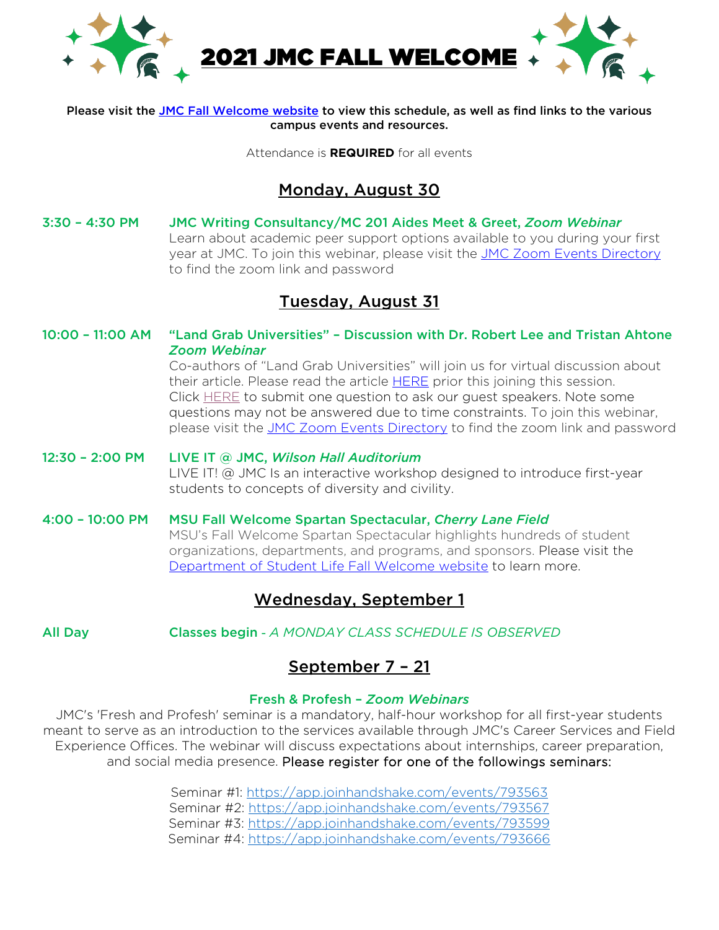

#### Please visit the JMC Fall Welcome website to view this schedule, as well as find links to the various campus events and resources.

Attendance is **REQUIRED** for all events

### Monday, August 30

3:30 – 4:30 PM JMC Writing Consultancy/MC 201 Aides Meet & Greet, *Zoom Webinar* Learn about academic peer support options available to you during your first year at JMC. To join this webinar, please visit the JMC Zoom Events Directory to find the zoom link and password

## Tuesday, August 31

10:00 – 11:00 AM "Land Grab Universities" – Discussion with Dr. Robert Lee and Tristan Ahtone *Zoom Webinar*

Co-authors of "Land Grab Universities" will join us for virtual discussion about their article. Please read the article **HERE** prior this joining this session. Click HERE to submit one question to ask our guest speakers. Note some questions may not be answered due to time constraints. To join this webinar, please visit the JMC Zoom Events Directory to find the zoom link and password

# 12:30 – 2:00 PM LIVE IT @ JMC, *Wilson Hall Auditorium* LIVE IT! @ JMC Is an interactive workshop designed to introduce first-year students to concepts of diversity and civility.

4:00 – 10:00 PM MSU Fall Welcome Spartan Spectacular, *Cherry Lane Field* MSU's Fall Welcome Spartan Spectacular highlights hundreds of student organizations, departments, and programs, and sponsors. Please visit the Department of Student Life Fall Welcome website to learn more.

# Wednesday, September 1

All Day Classes begin - *A MONDAY CLASS SCHEDULE IS OBSERVED* 

### September 7 – 21

### Fresh & Profesh – *Zoom Webinars*

JMC's 'Fresh and Profesh' seminar is a mandatory, half-hour workshop for all first-year students meant to serve as an introduction to the services available through JMC's Career Services and Field Experience Offices. The webinar will discuss expectations about internships, career preparation, and social media presence. Please register for one of the followings seminars:

> Seminar #1: https://app.joinhandshake.com/events/793563 Seminar #2: https://app.joinhandshake.com/events/793567 Seminar #3: https://app.joinhandshake.com/events/793599 Seminar #4: https://app.joinhandshake.com/events/793666